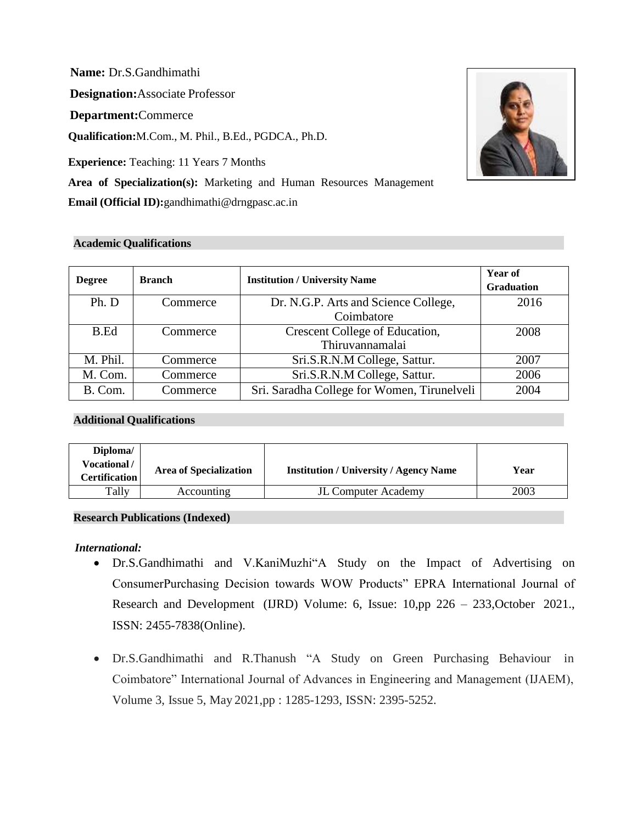**Name:** Dr.S.Gandhimathi **Designation:**Associate Professor **Department:**Commerce **Qualification:**M.Com., M. Phil., B.Ed., PGDCA., Ph.D. **Experience:** Teaching: 11 Years 7 Months **Area of Specialization(s):** Marketing and Human Resources Management



### **Academic Qualifications**

**Email (Official ID):**[gandhimathi@drngpasc.ac.in](mailto:gandhimathi@drngpasc.ac.in)

| <b>Degree</b> | <b>Branch</b> | <b>Institution / University Name</b>        | Year of<br><b>Graduation</b> |
|---------------|---------------|---------------------------------------------|------------------------------|
| Ph. D         | Commerce      | Dr. N.G.P. Arts and Science College,        | 2016                         |
|               |               | Coimbatore                                  |                              |
| B.Ed          | Commerce      | Crescent College of Education,              | 2008                         |
|               |               | Thiruvannamalai                             |                              |
| M. Phil.      | Commerce      | Sri.S.R.N.M College, Sattur.                | 2007                         |
| M. Com.       | Commerce      | Sri.S.R.N.M College, Sattur.                | 2006                         |
| B. Com.       | Commerce      | Sri. Saradha College for Women, Tirunelveli | 2004                         |

### **Additional Qualifications**

| Diploma/                             |                               |                                               |      |
|--------------------------------------|-------------------------------|-----------------------------------------------|------|
| Vocational /<br><b>Certification</b> | <b>Area of Specialization</b> | <b>Institution / University / Agency Name</b> | Year |
| Tally                                | Accounting                    | <b>JL Computer Academy</b>                    | 2003 |

### **Research Publications (Indexed)**

*International:*

- Dr.S.Gandhimathi and V.KaniMuzhi"A Study on the Impact of Advertising on ConsumerPurchasing Decision towards WOW Products" EPRA International Journal of Research and Development (IJRD) Volume: 6, Issue: 10,pp 226 – 233,October 2021., ISSN: 2455-7838(Online).
- Dr.S.Gandhimathi and R.Thanush "A Study on Green Purchasing Behaviour in Coimbatore" International Journal of Advances in Engineering and Management (IJAEM), Volume 3, Issue 5, May 2021,pp : 1285-1293, ISSN: 2395-5252.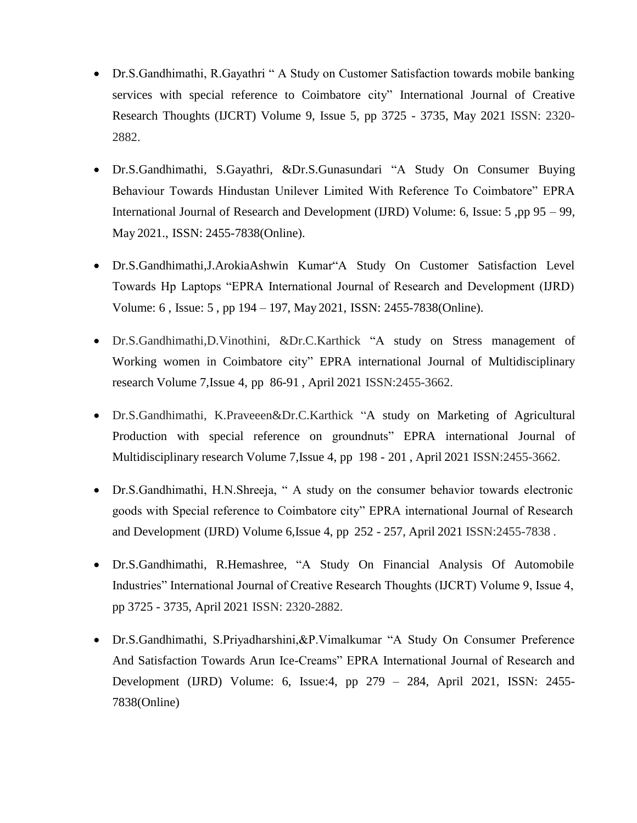- Dr.S.Gandhimathi, R.Gayathri " A Study on Customer Satisfaction towards mobile banking services with special reference to Coimbatore city" International Journal of Creative Research Thoughts (IJCRT) Volume 9, Issue 5, pp 3725 - 3735, May 2021 ISSN: 2320- 2882.
- Dr.S.Gandhimathi, S.Gayathri, &Dr.S.Gunasundari "A Study On Consumer Buying Behaviour Towards Hindustan Unilever Limited With Reference To Coimbatore" EPRA International Journal of Research and Development (IJRD) Volume: 6, Issue: 5 ,pp 95 – 99, May 2021., ISSN: 2455-7838(Online).
- Dr.S.Gandhimathi,J.ArokiaAshwin Kumar"A Study On Customer Satisfaction Level Towards Hp Laptops "EPRA International Journal of Research and Development (IJRD) Volume: 6 , Issue: 5 , pp 194 – 197, May 2021, ISSN: 2455-7838(Online).
- Dr.S.Gandhimathi,D.Vinothini, &Dr.C.Karthick "A study on Stress management of Working women in Coimbatore city" EPRA international Journal of Multidisciplinary research Volume 7,Issue 4, pp 86-91 , April 2021 ISSN:2455-3662.
- Dr.S.Gandhimathi, K.Praveeen&Dr.C.Karthick "A study on Marketing of Agricultural Production with special reference on groundnuts" EPRA international Journal of Multidisciplinary research Volume 7,Issue 4, pp 198 - 201 , April 2021 ISSN:2455-3662.
- Dr.S.Gandhimathi, H.N.Shreeja, " A study on the consumer behavior towards electronic goods with Special reference to Coimbatore city" EPRA international Journal of Research and Development (IJRD) Volume 6,Issue 4, pp 252 - 257, April 2021 ISSN:2455-7838 .
- Dr.S.Gandhimathi, R.Hemashree, "A Study On Financial Analysis Of Automobile Industries" International Journal of Creative Research Thoughts (IJCRT) Volume 9, Issue 4, pp 3725 - 3735, April 2021 ISSN: 2320-2882.
- Dr.S.Gandhimathi, S.Priyadharshini,&P.Vimalkumar "A Study On Consumer Preference And Satisfaction Towards Arun Ice-Creams" EPRA International Journal of Research and Development (IJRD) Volume: 6, Issue:4, pp 279 – 284, April 2021, ISSN: 2455- 7838(Online)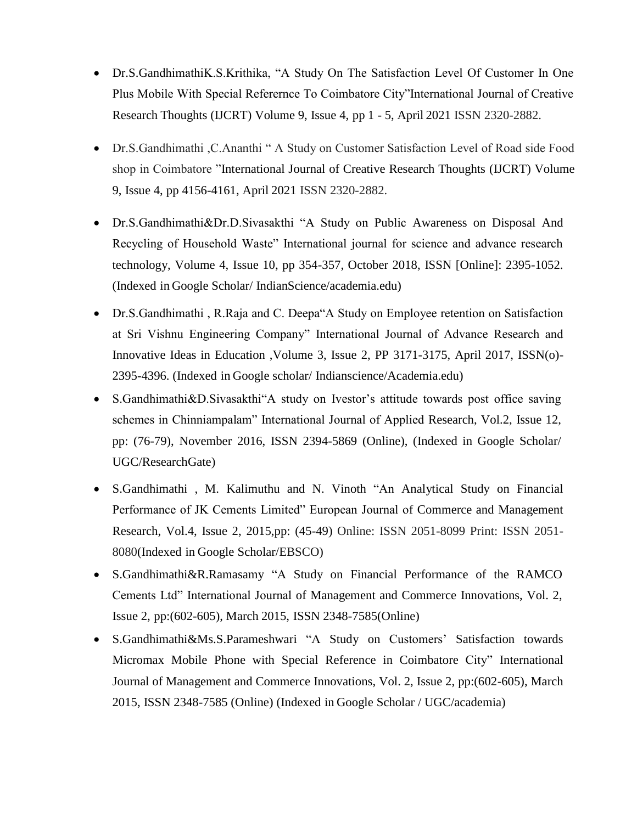- Dr.S.GandhimathiK.S.Krithika, "A Study On The Satisfaction Level Of Customer In One Plus Mobile With Special Referernce To Coimbatore City"International Journal of Creative Research Thoughts (IJCRT) Volume 9, Issue 4, pp 1 - 5, April 2021 ISSN 2320-2882.
- Dr.S.Gandhimathi ,C.Ananthi " A Study on Customer Satisfaction Level of Road side Food shop in Coimbatore "International Journal of Creative Research Thoughts (IJCRT) Volume 9, Issue 4, pp 4156-4161, April 2021 ISSN 2320-2882.
- Dr.S.Gandhimathi&Dr.D.Sivasakthi "A Study on Public Awareness on Disposal And Recycling of Household Waste" International journal for science and advance research technology, Volume 4, Issue 10, pp 354-357, October 2018, ISSN [Online]: 2395-1052. (Indexed in Google Scholar/ IndianScience/academia.edu)
- Dr.S.Gandhimathi , R.Raja and C. Deepa"A Study on Employee retention on Satisfaction at Sri Vishnu Engineering Company" International Journal of Advance Research and Innovative Ideas in Education ,Volume 3, Issue 2, PP 3171-3175, April 2017, ISSN(o)- 2395-4396. (Indexed in Google scholar/ Indianscience/Academia.edu)
- S.Gandhimathi&D.Sivasakthi"A study on Ivestor's attitude towards post office saving schemes in Chinniampalam" International Journal of Applied Research, Vol.2, Issue 12, pp: (76-79), November 2016, ISSN 2394-5869 (Online), (Indexed in Google Scholar/ UGC/ResearchGate)
- S.Gandhimathi , M. Kalimuthu and N. Vinoth "An Analytical Study on Financial Performance of JK Cements Limited" European Journal of Commerce and Management Research, Vol.4, Issue 2, 2015,pp: (45-49) Online: ISSN 2051-8099 Print: ISSN 2051- 8080(Indexed in Google Scholar/EBSCO)
- S.Gandhimathi&R.Ramasamy "A Study on Financial Performance of the RAMCO Cements Ltd" International Journal of Management and Commerce Innovations, Vol. 2, Issue 2, pp:(602-605), March 2015, ISSN 2348-7585(Online)
- S.Gandhimathi&Ms.S.Parameshwari "A Study on Customers' Satisfaction towards Micromax Mobile Phone with Special Reference in Coimbatore City" International Journal of Management and Commerce Innovations, Vol. 2, Issue 2, pp:(602-605), March 2015, ISSN 2348-7585 (Online) (Indexed in Google Scholar / UGC/academia)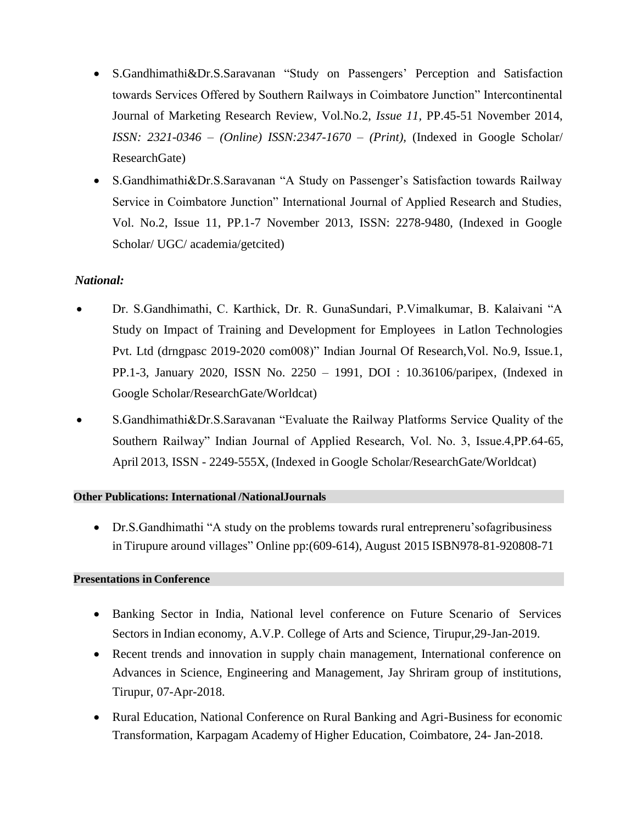- S.Gandhimathi&Dr.S.Saravanan "Study on Passengers' Perception and Satisfaction towards Services Offered by Southern Railways in Coimbatore Junction" Intercontinental Journal of Marketing Research Review, Vol.No.2, *Issue 11,* PP.45-51 November 2014, *ISSN: 2321-0346 – (Online) ISSN:2347-1670 – (Print),* (Indexed in Google Scholar/ ResearchGate)
- S.Gandhimathi&Dr.S.Saravanan "A Study on Passenger's Satisfaction towards Railway Service in Coimbatore Junction" International Journal of Applied Research and Studies, Vol. No.2, Issue 11, PP.1-7 November 2013, ISSN: 2278-9480, (Indexed in Google Scholar/ UGC/ academia/getcited)

# *National:*

- Dr. S.Gandhimathi, C. Karthick, Dr. R. GunaSundari, P.Vimalkumar, B. Kalaivani "A Study on Impact of Training and Development for Employees in Latlon Technologies Pvt. Ltd (drngpasc 2019-2020 com008)" Indian Journal Of Research,Vol. No.9, Issue.1, PP.1-3, January 2020, ISSN No. 2250 – 1991, DOI : 10.36106/paripex, (Indexed in Google Scholar/ResearchGate/Worldcat)
- S.Gandhimathi&Dr.S.Saravanan "Evaluate the Railway Platforms Service Quality of the Southern Railway" Indian Journal of Applied Research, Vol. No. 3, Issue.4,PP.64-65, April 2013, ISSN - 2249-555X, (Indexed in Google Scholar/ResearchGate/Worldcat)

## **Other Publications: International /NationalJournals**

• Dr.S.Gandhimathi "A study on the problems towards rural entrepreneru's of a gribusiness in Tirupure around villages" Online pp:(609-614), August 2015 ISBN978-81-920808-71

# **Presentations in Conference**

- Banking Sector in India, National level conference on Future Scenario of Services Sectors in Indian economy, A.V.P. College of Arts and Science, Tirupur,29-Jan-2019.
- Recent trends and innovation in supply chain management, International conference on Advances in Science, Engineering and Management, Jay Shriram group of institutions, Tirupur, 07-Apr-2018.
- Rural Education, National Conference on Rural Banking and Agri-Business for economic Transformation, Karpagam Academy of Higher Education, Coimbatore, 24- Jan-2018.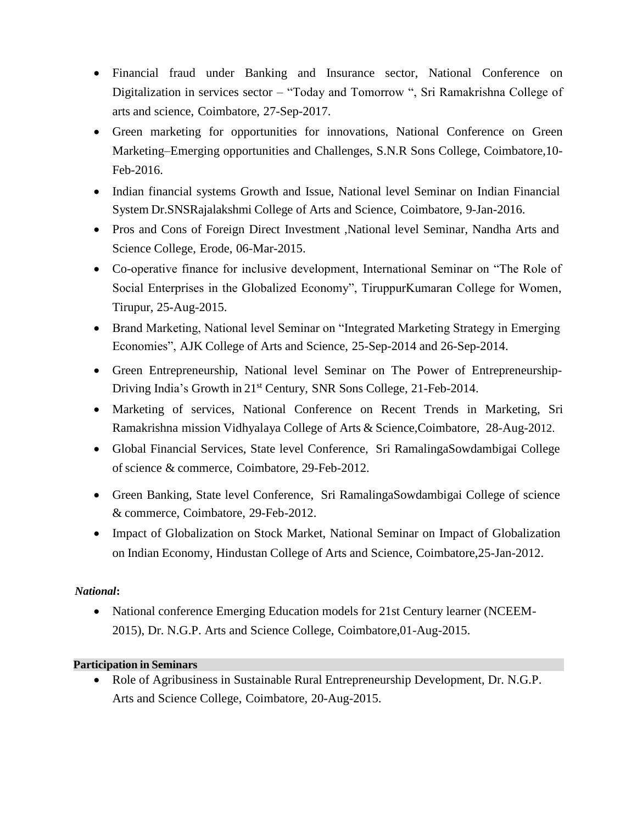- Financial fraud under Banking and Insurance sector, National Conference on Digitalization in services sector – "Today and Tomorrow ", Sri Ramakrishna College of arts and science, Coimbatore, 27-Sep-2017.
- Green marketing for opportunities for innovations, National Conference on Green Marketing–Emerging opportunities and Challenges, S.N.R Sons College, Coimbatore,10- Feb-2016.
- Indian financial systems Growth and Issue, National level Seminar on Indian Financial System Dr.SNSRajalakshmi College of Arts and Science, Coimbatore, 9-Jan-2016.
- Pros and Cons of Foreign Direct Investment ,National level Seminar, Nandha Arts and Science College, Erode, 06-Mar-2015.
- Co-operative finance for inclusive development, International Seminar on "The Role of Social Enterprises in the Globalized Economy", TiruppurKumaran College for Women, Tirupur, 25-Aug-2015.
- Brand Marketing, National level Seminar on "Integrated Marketing Strategy in Emerging Economies", AJK College of Arts and Science, 25-Sep-2014 and 26-Sep-2014.
- Green Entrepreneurship, National level Seminar on The Power of Entrepreneurship-Driving India's Growth in 21<sup>st</sup> Century, SNR Sons College, 21-Feb-2014.
- Marketing of services, National Conference on Recent Trends in Marketing, Sri Ramakrishna mission Vidhyalaya College of Arts & Science,Coimbatore, 28-Aug-2012.
- Global Financial Services, State level Conference, Sri RamalingaSowdambigai College of science & commerce, Coimbatore, 29-Feb-2012.
- Green Banking, State level Conference, Sri RamalingaSowdambigai College of science & commerce, Coimbatore, 29-Feb-2012.
- Impact of Globalization on Stock Market, National Seminar on Impact of Globalization on Indian Economy, Hindustan College of Arts and Science, Coimbatore,25-Jan-2012.

# *National***:**

• National conference Emerging Education models for 21st Century learner (NCEEM-2015), Dr. N.G.P. Arts and Science College, Coimbatore,01-Aug-2015.

# **Participation in Seminars**

• Role of Agribusiness in Sustainable Rural Entrepreneurship Development, Dr. N.G.P. Arts and Science College, Coimbatore, 20-Aug-2015.